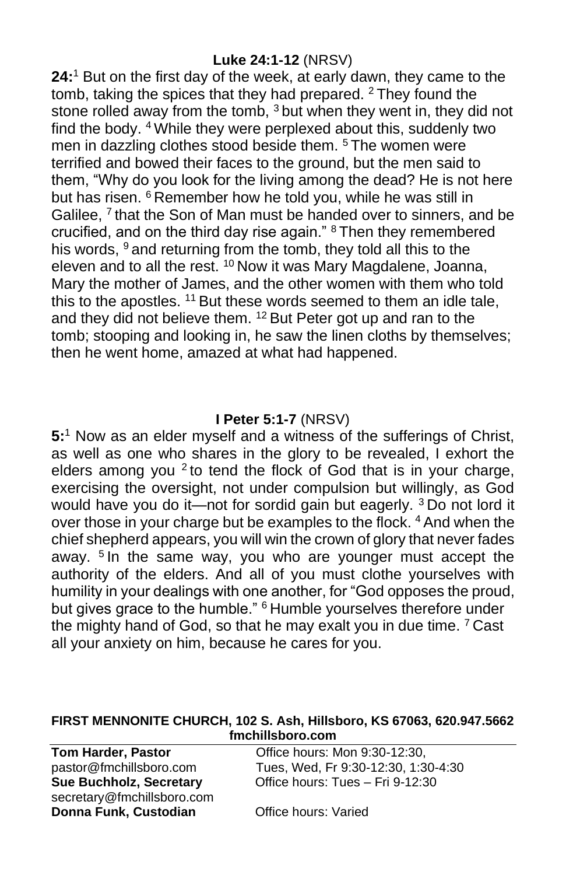#### **Luke 24:1-12** (NRSV)

**24:** <sup>1</sup> But on the first day of the week, at early dawn, they came to the tomb, taking the spices that they had prepared. <sup>2</sup> They found the stone rolled away from the tomb, <sup>3</sup> but when they went in, they did not find the body. <sup>4</sup> While they were perplexed about this, suddenly two men in dazzling clothes stood beside them.<sup>5</sup> The women were terrified and bowed their faces to the ground, but the men said to them, "Why do you look for the living among the dead? He is not here but has risen. <sup>6</sup> Remember how he told you, while he was still in Galilee, <sup>7</sup> that the Son of Man must be handed over to sinners, and be crucified, and on the third day rise again." <sup>8</sup> Then they remembered his words, <sup>9</sup> and returning from the tomb, they told all this to the eleven and to all the rest. <sup>10</sup> Now it was Mary Magdalene, Joanna, Mary the mother of James, and the other women with them who told this to the apostles. <sup>11</sup> But these words seemed to them an idle tale, and they did not believe them. <sup>12</sup> But Peter got up and ran to the tomb; stooping and looking in, he saw the linen cloths by themselves; then he went home, amazed at what had happened.

### **I Peter 5:1-7** (NRSV)

**5:** <sup>1</sup> Now as an elder myself and a witness of the sufferings of Christ, as well as one who shares in the glory to be revealed, I exhort the elders among you  $2$  to tend the flock of God that is in your charge, exercising the oversight, not under compulsion but willingly, as God would have you do it—not for sordid gain but eagerly. <sup>3</sup> Do not lord it over those in your charge but be examples to the flock. <sup>4</sup> And when the chief shepherd appears, you will win the crown of glory that never fades away. <sup>5</sup> In the same way, you who are younger must accept the authority of the elders. And all of you must clothe yourselves with humility in your dealings with one another, for "God opposes the proud, but gives grace to the humble." <sup>6</sup> Humble yourselves therefore under the mighty hand of God, so that he may exalt you in due time. <sup>7</sup> Cast all your anxiety on him, because he cares for you.

#### **FIRST MENNONITE CHURCH, 102 S. Ash, Hillsboro, KS 67063, 620.947.5662 fmchillsboro.com**

**Tom Harder, Pastor Conservery Conservery Conservery Paraders**, Pastor **Conservery Conservery Paraders** pastor@fmchillsboro.com Tues, Wed, Fr 9:30-12:30, 1:30-4:30 **Sue Buchholz, Secretary** Office hours: Tues – Fri 9-12:30 secretary@fmchillsboro.com **Donna Funk, Custodian** Office hours: Varied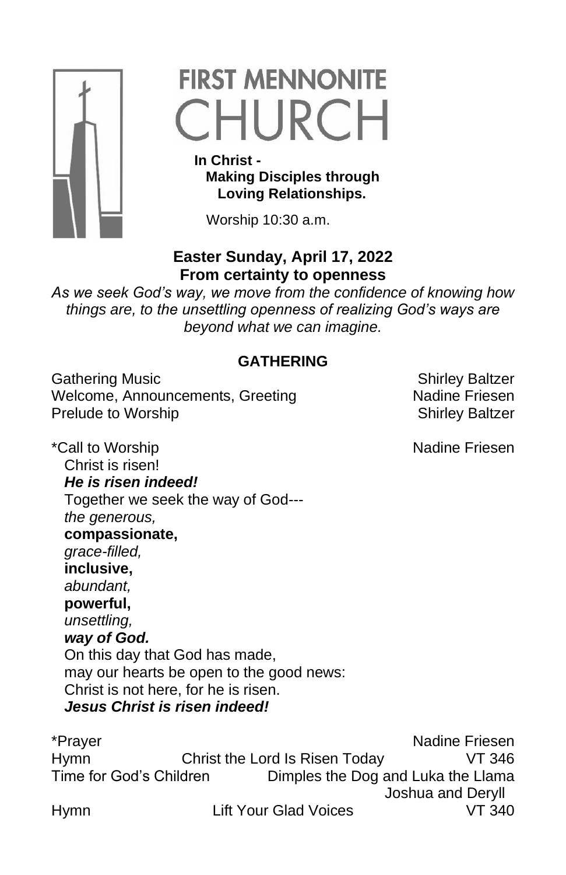

# **FIRST MENNONITE** CHURCH

 **In Christ - Making Disciples through Loving Relationships.**

Worship 10:30 a.m.

## **Easter Sunday, April 17, 2022 From certainty to openness**

*As we seek God's way, we move from the confidence of knowing how things are, to the unsettling openness of realizing God's ways are beyond what we can imagine.*

## **GATHERING**

Gathering Music **Shirley Baltzer** Shirley Baltzer Welcome, Announcements, Greeting Nadine Friesen Prelude to Worship **Shirley Baltzer** Shirley Baltzer

\*Call to Worship Nadine Friesen Christ is risen! *He is risen indeed!* Together we seek the way of God-- *the generous,*  **compassionate,**  *grace-filled,*  **inclusive,**  *abundant,*  **powerful,**  *unsettling, way of God.*  On this day that God has made, may our hearts be open to the good news: Christ is not here, for he is risen. *Jesus Christ is risen indeed!*

\*Prayer Nadine Friesen Hymn Christ the Lord Is Risen Today VT 346 Time for God's Children Dimples the Dog and Luka the Llama Joshua and Deryll Hymn Lift Your Glad Voices VT 340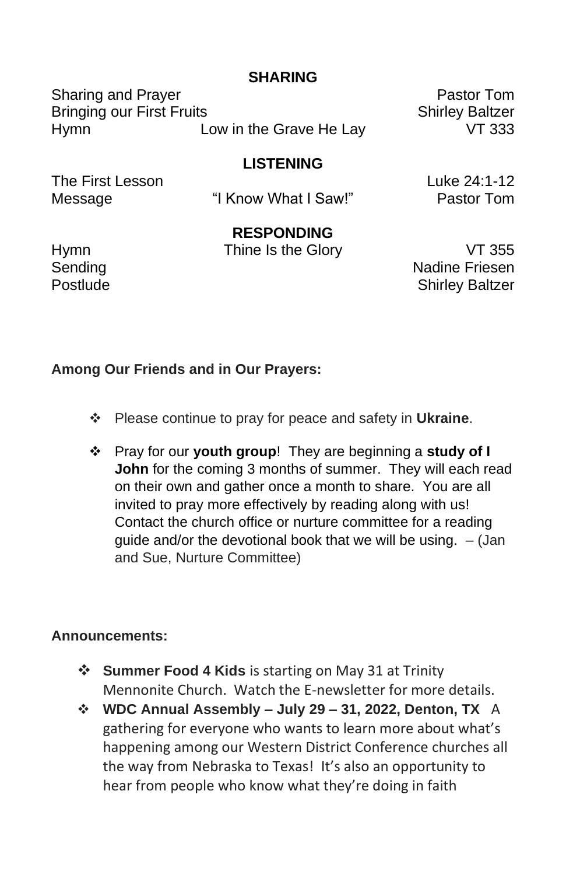### **SHARING**

Sharing and Prayer **Pastor Tom** Bringing our First Fruits Shirley Baltzer Hymn Low in the Grave He Lay VT 333

### **LISTENING**

The First Lesson **Luke 24:1-12** 

Message "I Know What I Saw!" Pastor Tom

## **RESPONDING**

Hymn Thine Is the Glory VT 355

Sending Nadine Friesen Postlude **Shirley Baltzer** 

#### **Among Our Friends and in Our Prayers:**

- ❖ Please continue to pray for peace and safety in **Ukraine**.
- ❖ Pray for our **youth group**! They are beginning a **study of I John** for the coming 3 months of summer. They will each read on their own and gather once a month to share. You are all invited to pray more effectively by reading along with us! Contact the church office or nurture committee for a reading quide and/or the devotional book that we will be using.  $-$  (Jan and Sue, Nurture Committee)

#### **Announcements:**

- ❖ **Summer Food 4 Kids** is starting on May 31 at Trinity Mennonite Church. Watch the E-newsletter for more details.
- ❖ **WDC Annual Assembly – July 29 – 31, 2022, Denton, TX** A gathering for everyone who wants to learn more about what's happening among our Western District Conference churches all the way from Nebraska to Texas! It's also an opportunity to hear from people who know what they're doing in faith